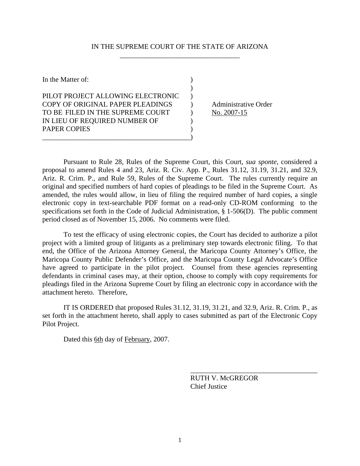## IN THE SUPREME COURT OF THE STATE OF ARIZONA \_\_\_\_\_\_\_\_\_\_\_\_\_\_\_\_\_\_\_\_\_\_\_\_\_\_\_\_\_\_\_\_\_\_

| In the Matter of:                 |  |
|-----------------------------------|--|
|                                   |  |
| PILOT PROJECT ALLOWING ELECTRONIC |  |
| COPY OF ORIGINAL PAPER PLEADINGS  |  |
| TO BE FILED IN THE SUPREME COURT  |  |
| IN LIEU OF REQUIRED NUMBER OF     |  |
| <b>PAPER COPIES</b>               |  |
|                                   |  |

Administrative Order  $) \qquad No. 2007-15$ 

Pursuant to Rule 28, Rules of the Supreme Court, this Court, *sua sponte*, considered a proposal to amend Rules 4 and 23, Ariz. R. Civ. App. P., Rules 31.12, 31.19, 31.21, and 32.9, Ariz. R. Crim. P., and Rule 59, Rules of the Supreme Court. The rules currently require an original and specified numbers of hard copies of pleadings to be filed in the Supreme Court. As amended, the rules would allow, in lieu of filing the required number of hard copies, a single electronic copy in text-searchable PDF format on a read-only CD-ROM conforming to the specifications set forth in the Code of Judicial Administration, § 1-506(D). The public comment period closed as of November 15, 2006. No comments were filed.

To test the efficacy of using electronic copies, the Court has decided to authorize a pilot project with a limited group of litigants as a preliminary step towards electronic filing. To that end, the Office of the Arizona Attorney General, the Maricopa County Attorney's Office, the Maricopa County Public Defender's Office, and the Maricopa County Legal Advocate's Office have agreed to participate in the pilot project. Counsel from these agencies representing defendants in criminal cases may, at their option, choose to comply with copy requirements for pleadings filed in the Arizona Supreme Court by filing an electronic copy in accordance with the attachment hereto. Therefore,

IT IS ORDERED that proposed Rules 31.12, 31.19, 31.21, and 32.9, Ariz. R. Crim. P., as set forth in the attachment hereto, shall apply to cases submitted as part of the Electronic Copy Pilot Project.

 $\overline{\phantom{a}}$  , which is a set of the set of the set of the set of the set of the set of the set of the set of the set of the set of the set of the set of the set of the set of the set of the set of the set of the set of th

Dated this 6th day of February, 2007.

 RUTH V. McGREGOR Chief Justice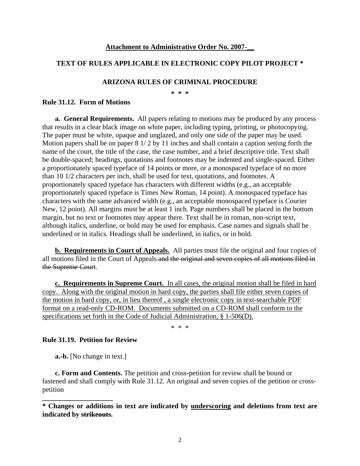#### **Attachment to Administrative Order No. 2007-\_\_**

# **TEXT OF RULES APPLICABLE IN ELECTRONIC COPY PILOT PROJECT \***

## **ARIZONA RULES OF CRIMINAL PROCEDURE**

**\* \* \*** 

#### **Rule 31.12. Form of Motions**

**a. General Requirements.** All papers relating to motions may be produced by any process that results in a clear black image on white paper, including typing, printing, or photocopying. The paper must be white, opaque and unglazed, and only one side of the paper may be used. Motion papers shall be on paper 8 1/ 2 by 11 inches and shall contain a caption setting forth the name of the court, the title of the case, the case number, and a brief descriptive title. Text shall be double-spaced; headings, quotations and footnotes may be indented and single-spaced. Either a proportionately spaced typeface of 14 points or more, or a monospaced typeface of no more than 10 1/2 characters per inch, shall be used for text, quotations, and footnotes. A proportionately spaced typeface has characters with different widths (e.g., an acceptable proportionately spaced typeface is Times New Roman, 14 point). A monospaced typeface has characters with the same advanced width (e.g., an acceptable monospaced typeface is Courier New, 12 point). All margins must be at least 1 inch. Page numbers shall be placed in the bottom margin, but no text or footnotes may appear there. Text shall be in roman, non-script text, although italics, underline, or bold may be used for emphasis. Case names and signals shall be underlined or in italics. Headings shall be underlined, in italics, or in bold.

**b. Requirements in Court of Appeals.** All parties must file the original and four copies of all motions filed in the Court of Appeals and the original and seven copies of all motions filed in the Supreme Court.

**c. Requirements in Supreme Court.** In all cases, the original motion shall be filed in hard copy. Along with the original motion in hard copy, the parties shall file either seven copies of the motion in hard copy, or, in lieu thereof , a single electronic copy in text-searchable PDF format on a read-only CD-ROM. Documents submitted on a CD-ROM shall conform to the specifications set forth in the Code of Judicial Administration, § 1-506(D).

\* \* \*

# **Rule 31.19. Petition for Review**

**a.-b.** [No change in text.]

**\_\_\_\_\_\_\_\_\_\_\_\_\_\_\_\_\_\_\_\_** 

**c. Form and Contents.** The petition and cross-petition for review shall be bound or fastened and shall comply with Rule 31.12. An original and seven copies of the petition or crosspetition

**<sup>\*</sup> Changes or additions in text are indicated by underscoring and deletions from text are indicated by strikeouts.**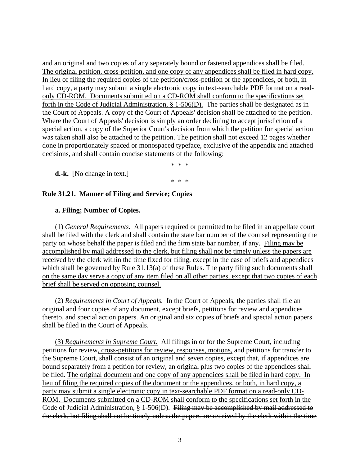and an original and two copies of any separately bound or fastened appendices shall be filed. The original petition, cross-petition, and one copy of any appendices shall be filed in hard copy. In lieu of filing the required copies of the petition/cross-petition or the appendices, or both, in hard copy, a party may submit a single electronic copy in text-searchable PDF format on a readonly CD-ROM. Documents submitted on a CD-ROM shall conform to the specifications set forth in the Code of Judicial Administration, § 1-506(D). The parties shall be designated as in the Court of Appeals. A copy of the Court of Appeals' decision shall be attached to the petition. Where the Court of Appeals' decision is simply an order declining to accept jurisdiction of a special action, a copy of the Superior Court's decision from which the petition for special action was taken shall also be attached to the petition. The petition shall not exceed 12 pages whether done in proportionately spaced or monospaced typeface, exclusive of the appendix and attached decisions, and shall contain concise statements of the following:

\* \* \*

\* \* \*

**d.-k.** [No change in text.]

# **Rule 31.21. Manner of Filing and Service; Copies**

## **a. Filing; Number of Copies.**

(1) *General Requirements.* All papers required or permitted to be filed in an appellate court shall be filed with the clerk and shall contain the state bar number of the counsel representing the party on whose behalf the paper is filed and the firm state bar number, if any. Filing may be accomplished by mail addressed to the clerk, but filing shall not be timely unless the papers are received by the clerk within the time fixed for filing, except in the case of briefs and appendices which shall be governed by Rule 31.13(a) of these Rules. The party filing such documents shall on the same day serve a copy of any item filed on all other parties, except that two copies of each brief shall be served on opposing counsel.

(2) *Requirements in Court of Appeals.* In the Court of Appeals, the parties shall file an original and four copies of any document, except briefs, petitions for review and appendices thereto, and special action papers. An original and six copies of briefs and special action papers shall be filed in the Court of Appeals.

(3) *Requirements in Supreme Court.* All filings in or for the Supreme Court, including petitions for review, cross-petitions for review, responses, motions, and petitions for transfer to the Supreme Court, shall consist of an original and seven copies, except that, if appendices are bound separately from a petition for review, an original plus two copies of the appendices shall be filed. The original document and one copy of any appendices shall be filed in hard copy. In lieu of filing the required copies of the document or the appendices, or both, in hard copy, a party may submit a single electronic copy in text-searchable PDF format on a read-only CD-ROM. Documents submitted on a CD-ROM shall conform to the specifications set forth in the Code of Judicial Administration, § 1-506(D). Filing may be accomplished by mail addressed to the clerk, but filing shall not be timely unless the papers are received by the clerk within the time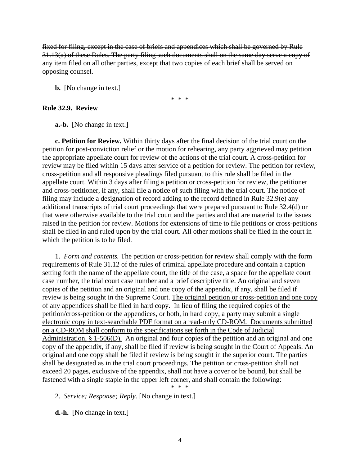fixed for filing, except in the case of briefs and appendices which shall be governed by Rule 31.13(a) of these Rules. The party filing such documents shall on the same day serve a copy of any item filed on all other parties, except that two copies of each brief shall be served on opposing counsel.

**b.** [No change in text.]

\* \* \*

## **Rule 32.9. Review**

**a.-b.** [No change in text.]

**c. Petition for Review.** Within thirty days after the final decision of the trial court on the petition for post-conviction relief or the motion for rehearing, any party aggrieved may petition the appropriate appellate court for review of the actions of the trial court. A cross-petition for review may be filed within 15 days after service of a petition for review. The petition for review, cross-petition and all responsive pleadings filed pursuant to this rule shall be filed in the appellate court. Within 3 days after filing a petition or cross-petition for review, the petitioner and cross-petitioner, if any, shall file a notice of such filing with the trial court. The notice of filing may include a designation of record adding to the record defined in Rule 32.9(e) any additional transcripts of trial court proceedings that were prepared pursuant to Rule 32.4(d) or that were otherwise available to the trial court and the parties and that are material to the issues raised in the petition for review. Motions for extensions of time to file petitions or cross-petitions shall be filed in and ruled upon by the trial court. All other motions shall be filed in the court in which the petition is to be filed.

1. *Form and contents.* The petition or cross-petition for review shall comply with the form requirements of Rule 31.12 of the rules of criminal appellate procedure and contain a caption setting forth the name of the appellate court, the title of the case, a space for the appellate court case number, the trial court case number and a brief descriptive title. An original and seven copies of the petition and an original and one copy of the appendix, if any, shall be filed if review is being sought in the Supreme Court. The original petition or cross-petition and one copy of any appendices shall be filed in hard copy. In lieu of filing the required copies of the petition/cross-petition or the appendices, or both, in hard copy, a party may submit a single electronic copy in text-searchable PDF format on a read-only CD-ROM. Documents submitted on a CD-ROM shall conform to the specifications set forth in the Code of Judicial Administration, § 1-506(D). An original and four copies of the petition and an original and one copy of the appendix, if any, shall be filed if review is being sought in the Court of Appeals. An original and one copy shall be filed if review is being sought in the superior court. The parties shall be designated as in the trial court proceedings. The petition or cross-petition shall not exceed 20 pages, exclusive of the appendix, shall not have a cover or be bound, but shall be fastened with a single staple in the upper left corner, and shall contain the following:

\* \* \*

2. *Service; Response; Reply.* [No change in text.]

**d.-h.** [No change in text.]